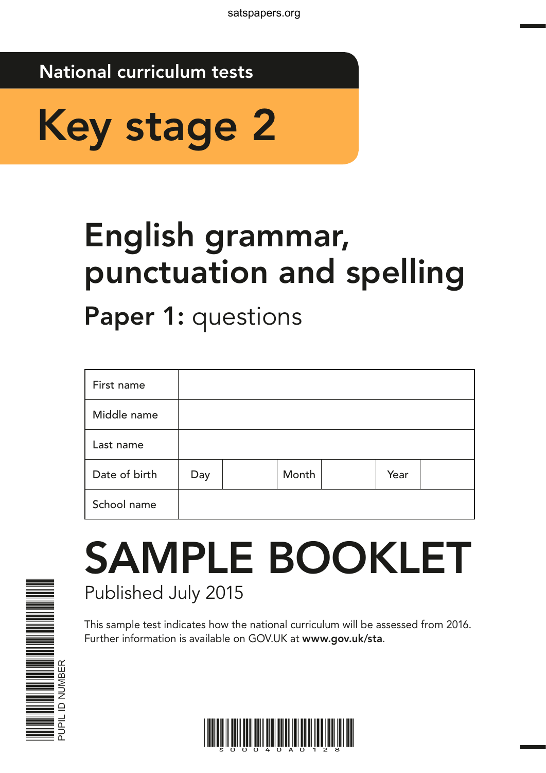## National curriculum tests



# English grammar, punctuation and spelling

Paper 1: questions

| First name    |     |       |      |  |
|---------------|-----|-------|------|--|
| Middle name   |     |       |      |  |
| Last name     |     |       |      |  |
| Date of birth | Day | Month | Year |  |
| School name   |     |       |      |  |

## SAMPLE BOOKLET Published July 2015

This sample test indicates how the national curriculum will be assessed from 2016. Further information is available on GOV.UK at www.gov.uk/sta.



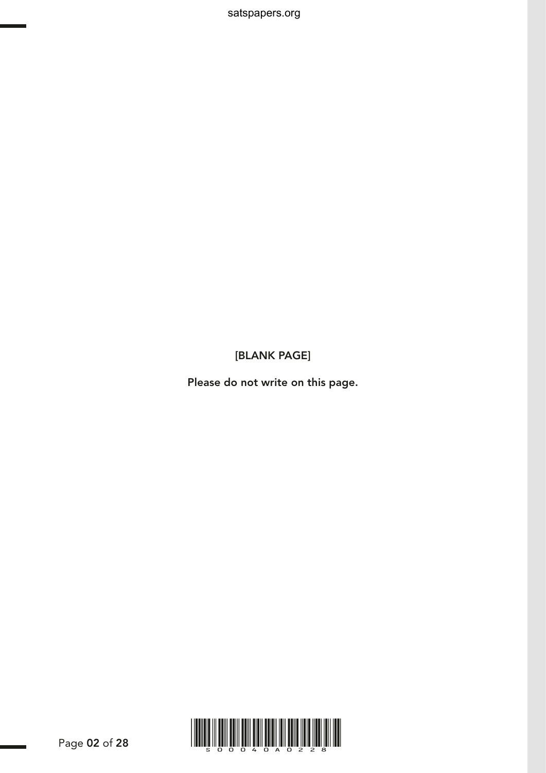satspapers.org

[BLANK PAGE]

Please do not write on this page.

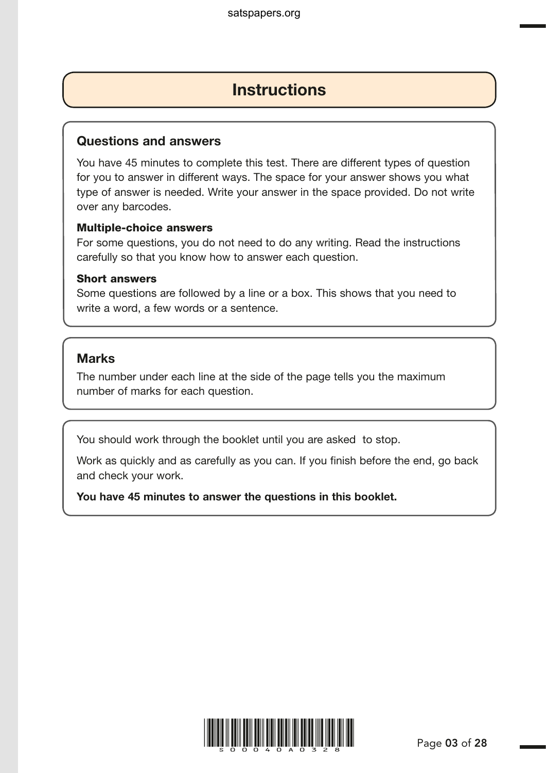## **Instructions**

#### Questions and answers

You have 45 minutes to complete this test. There are different types of question for you to answer in different ways. The space for your answer shows you what type of answer is needed. Write your answer in the space provided. Do not write over any barcodes.

#### Multiple-choice answers

For some questions, you do not need to do any writing. Read the instructions carefully so that you know how to answer each question.

#### Short answers

Some questions are followed by a line or a box. This shows that you need to write a word, a few words or a sentence.

## Marks

The number under each line at the side of the page tells you the maximum number of marks for each question.

You should work through the booklet until you are asked to stop.

Work as quickly and as carefully as you can. If you finish before the end, go back and check your work.

You have 45 minutes to answer the questions in this booklet.

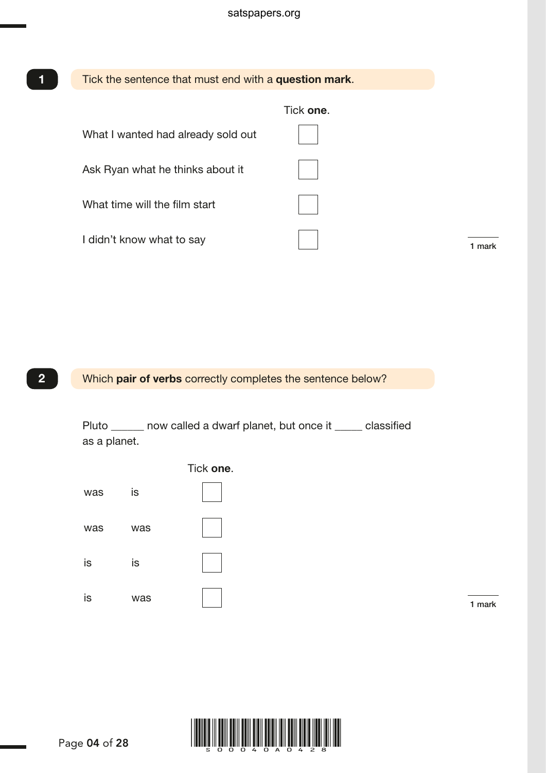

Which pair of verbs correctly completes the sentence below?

Pluto \_\_\_\_\_\_ now called a dwarf planet, but once it \_\_\_\_\_ classified as a planet.





XX 2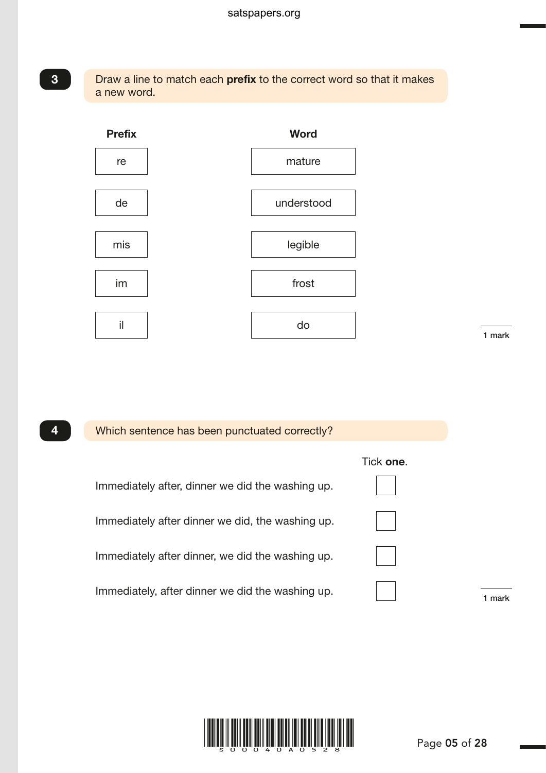#### Draw a line to match each prefix to the correct word so that it makes a new word.



1 mark

G003788.p1 – 18 March 2015 11:43 AM – Version 4

## Which sentence has been punctuated correctly? Tick one. Immediately after, dinner we did the washing up. Immediately after dinner we did, the washing up. Immediately after dinner, we did the washing up. Immediately, after dinner we did the washing up. x 41 mark

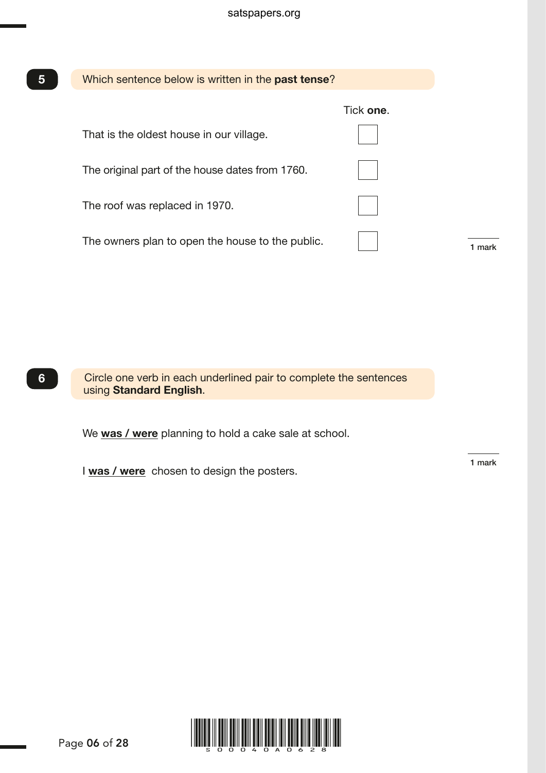| 5 | Which sentence below is written in the <b>past tense</b> ? |           |  |
|---|------------------------------------------------------------|-----------|--|
|   |                                                            | Tick one. |  |
|   | That is the oldest house in our village.                   |           |  |
|   | The original part of the house dates from 1760.            |           |  |
|   | The roof was replaced in 1970.                             |           |  |
|   | The owners plan to open the house to the public.           |           |  |

Circle one verb in each underlined pair to complete the sentences using Standard English.

We was / were planning to hold a cake sale at school.

I was / were chosen to design the posters.

1 mark



6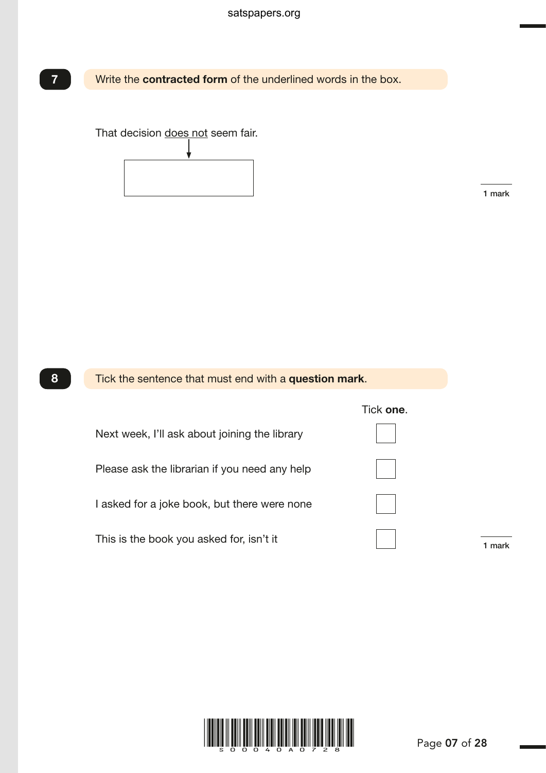

# That decision does not seem fair.

1 mark

G003617.p1 – 18 March 2015 11:56 AM – Version 3



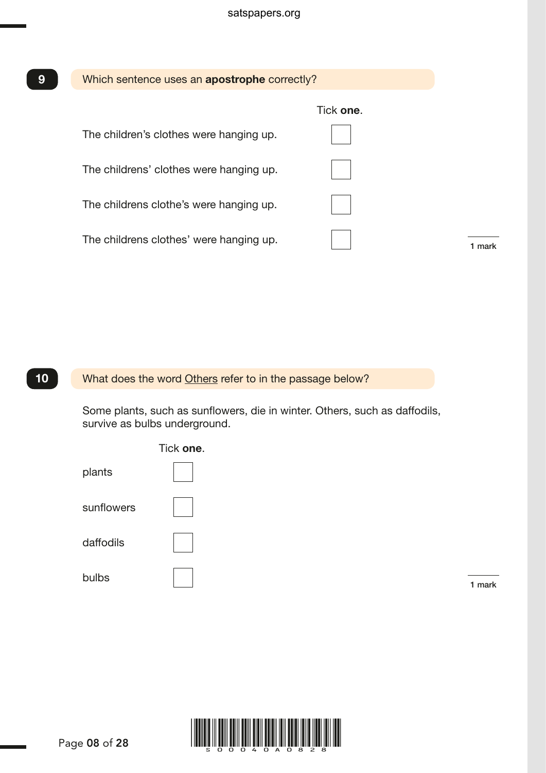| 9  | Which sentence uses an apostrophe correctly?             |           |        |
|----|----------------------------------------------------------|-----------|--------|
|    |                                                          | Tick one. |        |
|    | The children's clothes were hanging up.                  |           |        |
|    | The childrens' clothes were hanging up.                  |           |        |
|    | The childrens clothe's were hanging up.                  |           |        |
|    | The childrens clothes' were hanging up.                  |           | 1 mark |
|    |                                                          |           |        |
|    |                                                          |           |        |
|    |                                                          |           |        |
|    |                                                          |           |        |
| 10 | What does the word Others refer to in the passage below? |           |        |

 Some plants, such as sunflowers, die in winter. Others, such as daffodils, survive as bulbs underground.



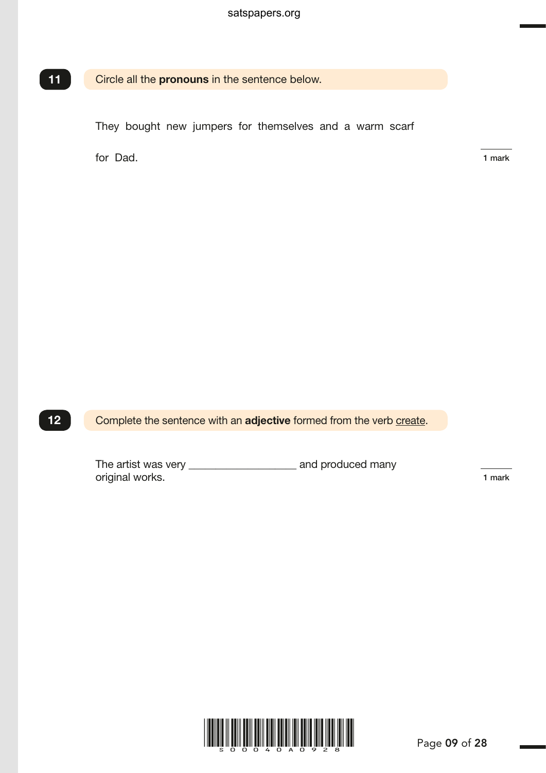#### Circle all the pronouns in the sentence below.

They bought new jumpers for themselves and a warm scarf

for Dad.

X 11

1 mark

G004991.p1 – 18 March 2015 1:10 PM – Version 2

Complete the sentence with an adjective formed from the verb create. 12

> The artist was very \_\_\_\_\_\_\_\_\_\_\_\_\_\_\_\_\_\_\_\_ and produced many original works.

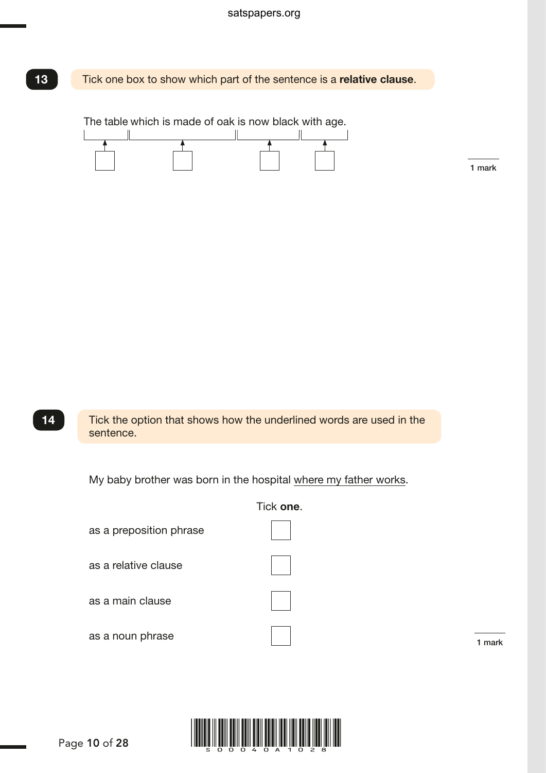Tick one box to show which part of the sentence is a relative clause.

The table which is made of oak is now black with age.



1 mark

Tick the option that shows how the underlined words are used in the sentence. X 14

My baby brother was born in the hospital where my father works.



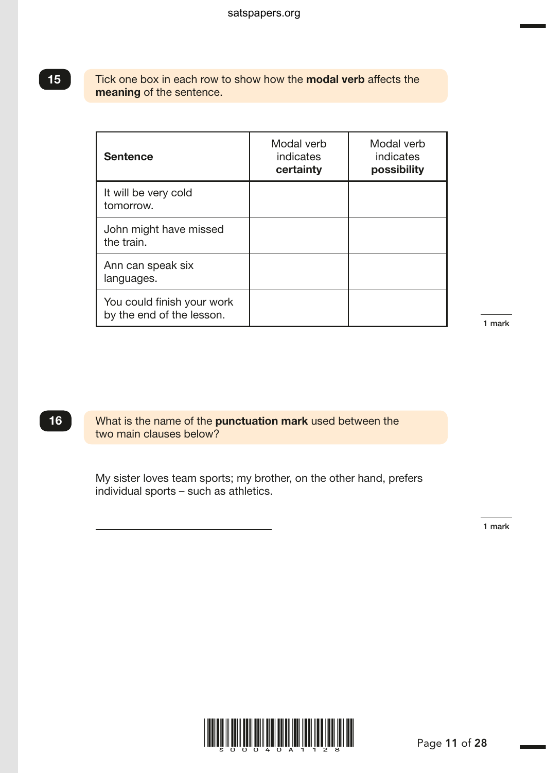#### Tick one box in each row to show how the **modal verb** affects the meaning of the sentence.

| <b>Sentence</b>                                         | Modal verb<br>indicates<br>certainty | Modal verb<br><b>indicates</b><br>possibility |  |
|---------------------------------------------------------|--------------------------------------|-----------------------------------------------|--|
| It will be very cold<br>tomorrow.                       |                                      |                                               |  |
| John might have missed<br>the train.                    |                                      |                                               |  |
| Ann can speak six<br>languages.                         |                                      |                                               |  |
| You could finish your work<br>by the end of the lesson. |                                      |                                               |  |

G003895.p1 – 18 March 2015 1:44 PM – Version 3

#### x 16

What is the name of the **punctuation mark** used between the two main clauses below?

 My sister loves team sports; my brother, on the other hand, prefers individual sports – such as athletics.

1 mark



15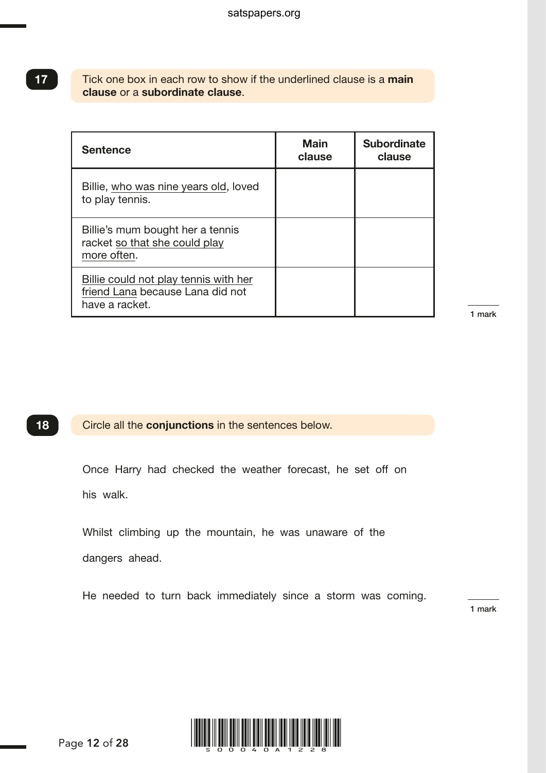#### Tick one box in each row to show if the underlined clause is a main clause or a subordinate clause.

| <b>Sentence</b>                                                                             | <b>Main</b><br>clause | <b>Subordinate</b><br>clause |
|---------------------------------------------------------------------------------------------|-----------------------|------------------------------|
| Billie, who was nine years old, loved<br>to play tennis.                                    |                       |                              |
| Billie's mum bought her a tennis<br>racket so that she could play<br>more often.            |                       |                              |
| Billie could not play tennis with her<br>friend Lana because Lana did not<br>have a racket. |                       |                              |

1 mark

#### Circle all the conjunctions in the sentences below. 18

 Once Harry had checked the weather forecast, he set off on his walk.

 Whilst climbing up the mountain, he was unaware of the dangers ahead.

He needed to turn back immediately since a storm was coming.

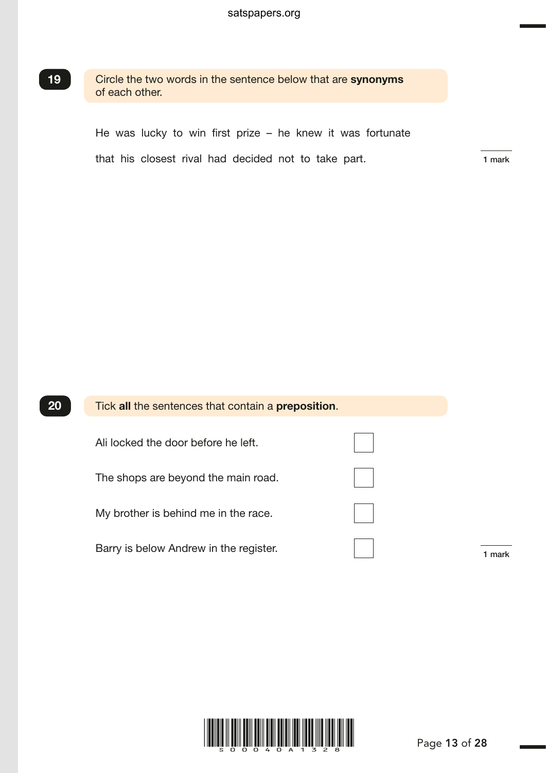Circle the two words in the sentence below that are synonyms of each other.

He was lucky to win first prize – he knew it was fortunate

that his closest rival had decided not to take part. 1 mark

G003941.p1 – 18 March 2015 2:04 PM – Version 3

| 20 | Tick all the sentences that contain a preposition. |  |
|----|----------------------------------------------------|--|
|    | Ali locked the door before he left.                |  |
|    | The shops are beyond the main road.                |  |
|    | My brother is behind me in the race.               |  |
|    | Barry is below Andrew in the register.             |  |

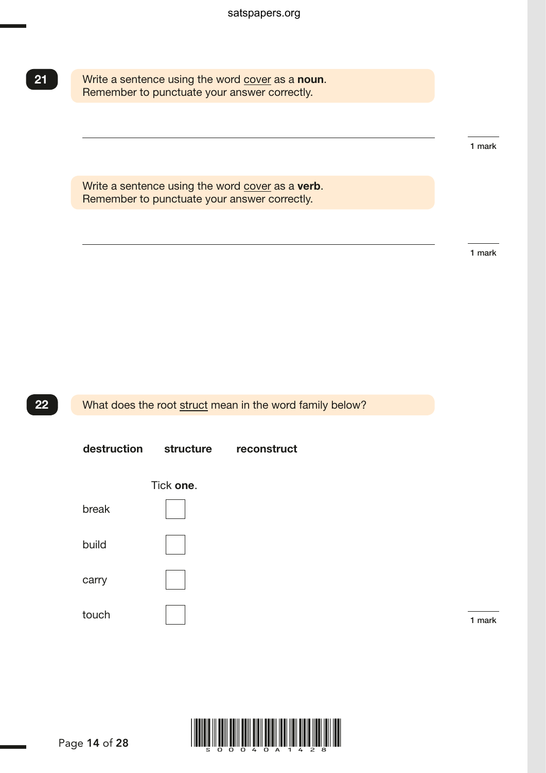Write a sentence using the word cover as a noun. Remember to punctuate your answer correctly.

1 mark

Write a sentence using the word cover as a verb. Remember to punctuate your answer correctly.

1 mark

What does the root struct mean in the word family below?

destruction structure reconstruct



 $\overline{1}$  mark  $\overline{1}$  mark  $\overline{1}$  mark  $\overline{1}$  mark  $\overline{1}$  mark  $\overline{1}$  mark  $\overline{1}$  mark  $\overline{1}$  mark  $\overline{1}$  mark  $\overline{1}$  mark  $\overline{1}$  mark  $\overline{1}$  mark  $\overline{1}$  mark  $\overline{1}$  mark  $\overline{1}$  mark  $\overline{1}$  ma



22

21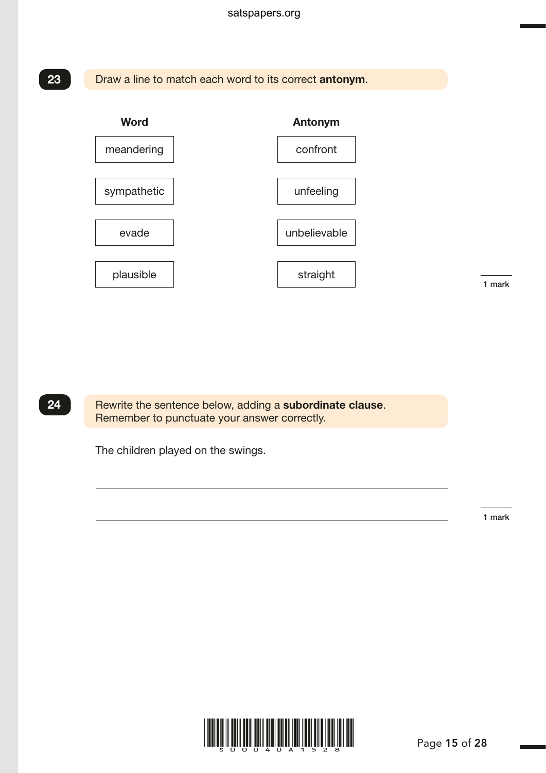Draw a line to match each word to its correct antonym.



1 mark

G003908.p1 – 18 March 2015 3:23 PM – Version 5



Rewrite the sentence below, adding a subordinate clause. Remember to punctuate your answer correctly.

The children played on the swings.

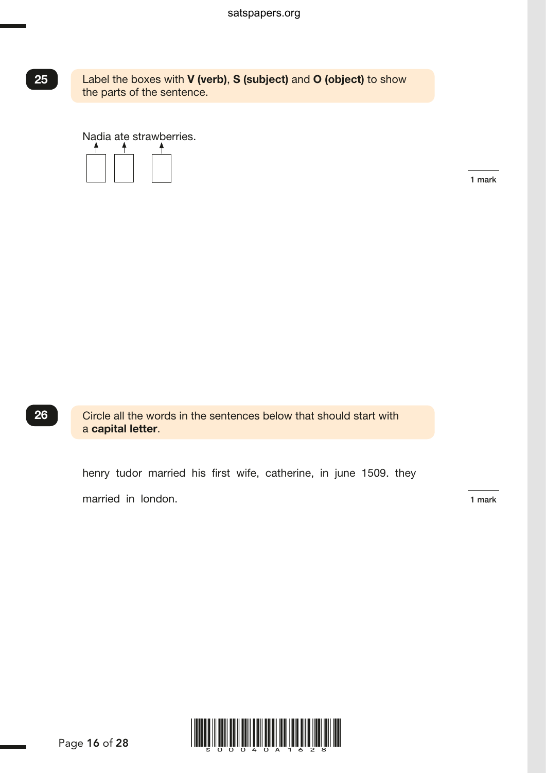Label the boxes with V (verb), S (subject) and O (object) to show the parts of the sentence.

Nadia ate strawberries.



1 mark



Circle all the words in the sentences below that should start with a capital letter.

 henry tudor married his first wife, catherine, in june 1509. they married in london. 1 mark

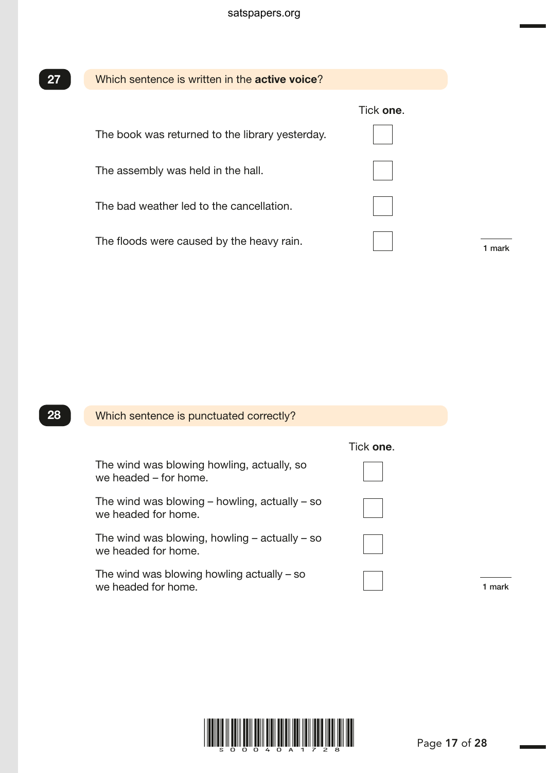| 27 | Which sentence is written in the <b>active voice</b> ? |           |
|----|--------------------------------------------------------|-----------|
|    |                                                        | Tick one. |
|    | The book was returned to the library yesterday.        |           |
|    | The assembly was held in the hall.                     |           |
|    | The bad weather led to the cancellation.               |           |
|    | The floods were caused by the heavy rain.              |           |
|    |                                                        |           |

| 28 | Which sentence is punctuated correctly?                                  |           |
|----|--------------------------------------------------------------------------|-----------|
|    |                                                                          | Tick one. |
|    | The wind was blowing howling, actually, so<br>we headed - for home.      |           |
|    | The wind was blowing $-$ howling, actually $-$ so<br>we headed for home. |           |
|    | The wind was blowing, howling $-$ actually $-$ so<br>we headed for home. |           |
|    | The wind was blowing howling actually $-$ so<br>we headed for home.      |           |



G003612.p1 – 18 March 2015 3:54 PM – Version 2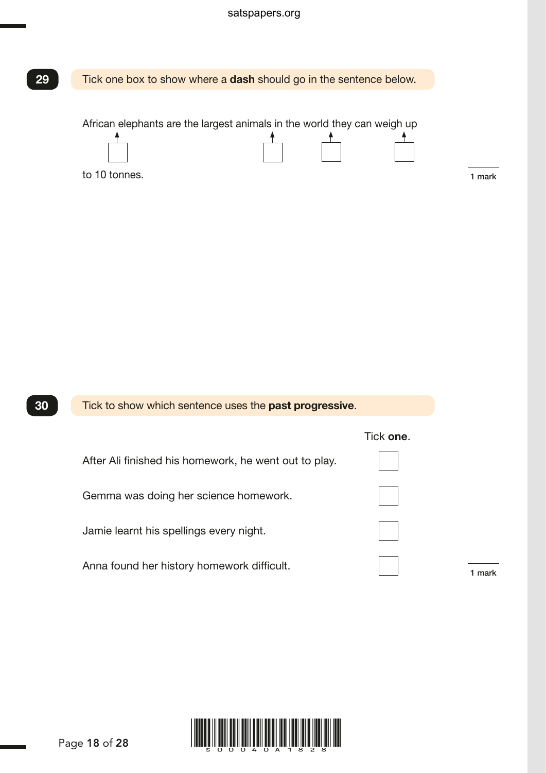#### satspapers.org



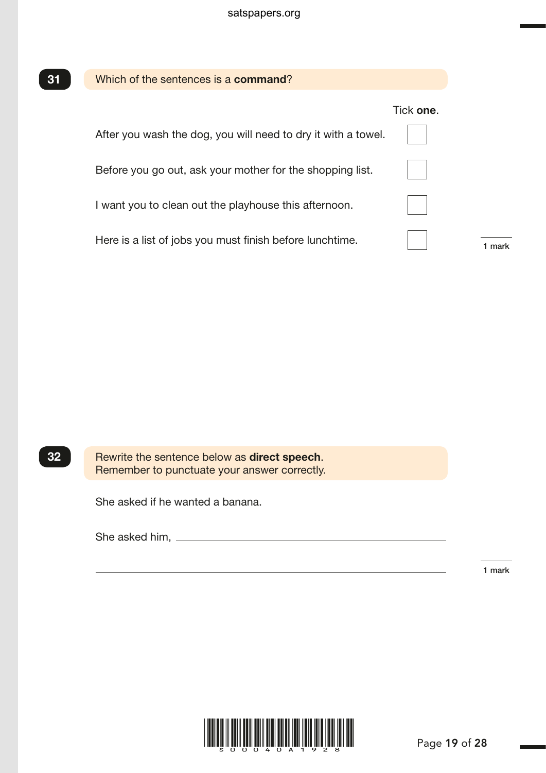| Which of the sentences is a command?                          |           |
|---------------------------------------------------------------|-----------|
|                                                               | Tick one. |
| After you wash the dog, you will need to dry it with a towel. |           |
| Before you go out, ask your mother for the shopping list.     |           |
| I want you to clean out the playhouse this afternoon.         |           |
| Here is a list of jobs you must finish before lunchtime.      |           |
|                                                               |           |
|                                                               |           |
|                                                               |           |
|                                                               |           |
|                                                               |           |
|                                                               |           |
| Rewrite the sentence below as direct speech.                  |           |

Remember to punctuate your answer correctly.

She asked if he wanted a banana.

She asked him,

1 mark



G003557.p1 – 18 March 2015 4:20 PM – Version 1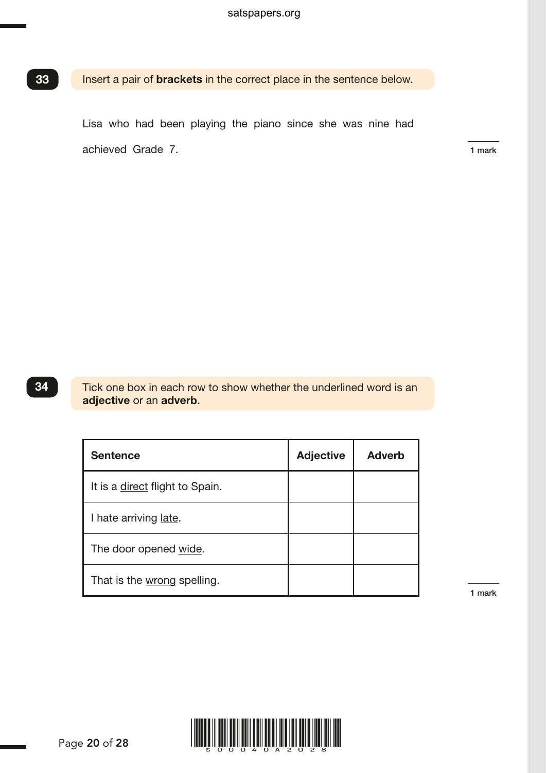Insert a pair of **brackets** in the correct place in the sentence below.

 Lisa who had been playing the piano since she was nine had achieved Grade 7.

Tick one box in each row to show whether the underlined word is an adjective or an adverb.

| <b>Sentence</b>                        | <b>Adjective</b> | <b>Adverb</b> |
|----------------------------------------|------------------|---------------|
| It is a <i>direct</i> flight to Spain. |                  |               |
| I hate arriving late.                  |                  |               |
| The door opened wide.                  |                  |               |
| That is the wrong spelling.            |                  |               |

1 mark



Page 20 of 28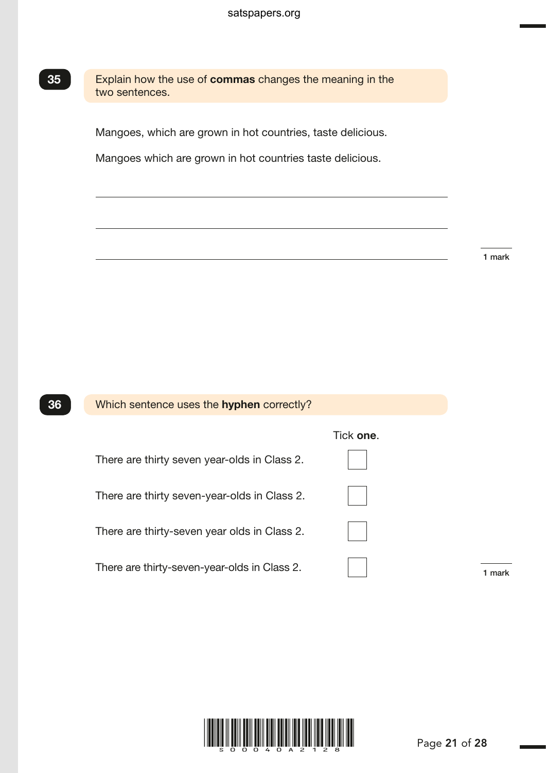



G003645.p1 – 18 March 2015 1:07 PM – Version 3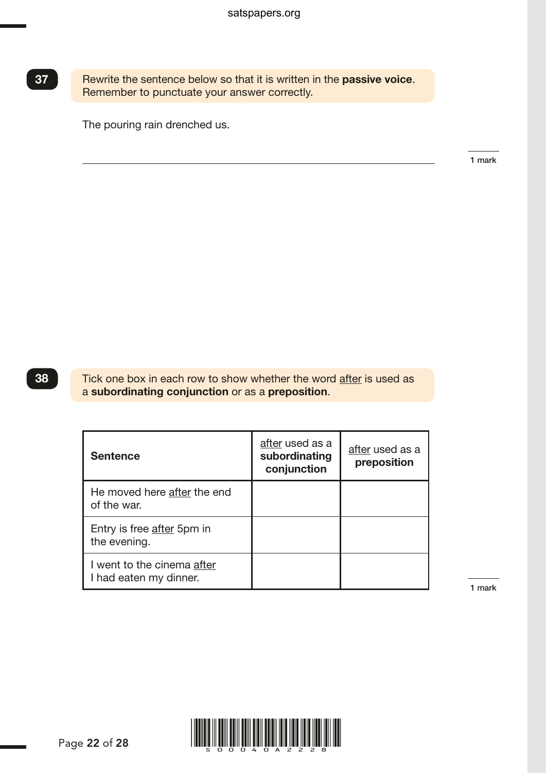Rewrite the sentence below so that it is written in the passive voice. Remember to punctuate your answer correctly. 37<br>
Rewrite the sentence below so that it is written in the passive voice.<br>
Remember to punctuate your answer correctly.<br>
The pouring rain drenched us.<br>
Tick one box in each row to show whether the word <u>after</u> is used as

The pouring rain drenched us.

1 mark

#### 38

a subordinating conjunction or as a preposition.

| <b>Sentence</b>                                      | after used as a<br>subordinating<br>conjunction | after used as a<br>preposition |
|------------------------------------------------------|-------------------------------------------------|--------------------------------|
| He moved here after the end<br>of the war.           |                                                 |                                |
| Entry is free after 5pm in<br>the evening.           |                                                 |                                |
| I went to the cinema after<br>I had eaten my dinner. |                                                 |                                |

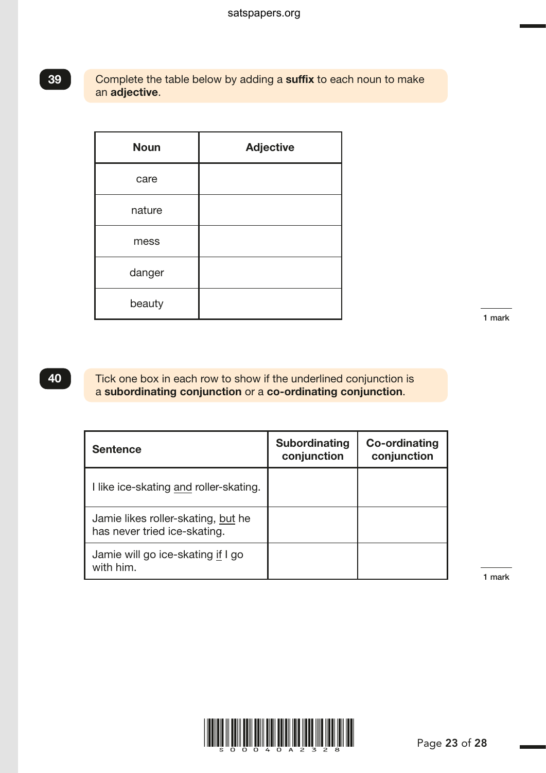#### Complete the table below by adding a suffix to each noun to make an adjective.

| <b>Noun</b> | <b>Adjective</b> |
|-------------|------------------|
| care        |                  |
| nature      |                  |
| mess        |                  |
| danger      |                  |
| beauty      |                  |

1 mark and 2015 9:20 AM – 19 March 2015 9:20 AM – Version 3:20 AM – Version 3:20 AM – Version 3:20 AM – Version 3:20<br>Participate 3:20 AM – Version 3:20 AM – Version 3:20 AM – Version 3:20 AM – Version 3:20 AM – Version 3:20 AM

G003804.p1 – 12 May 2015 12:05 PM – Version 3

## 40

39

Tick one box in each row to show if the underlined conjunction is a subordinating conjunction or a co-ordinating conjunction.

| <b>Sentence</b>                                                    | <b>Subordinating</b><br>conjunction | Co-ordinating<br>conjunction |
|--------------------------------------------------------------------|-------------------------------------|------------------------------|
| I like ice-skating and roller-skating.                             |                                     |                              |
| Jamie likes roller-skating, but he<br>has never tried ice-skating. |                                     |                              |
| Jamie will go ice-skating if I go<br>with him                      |                                     |                              |

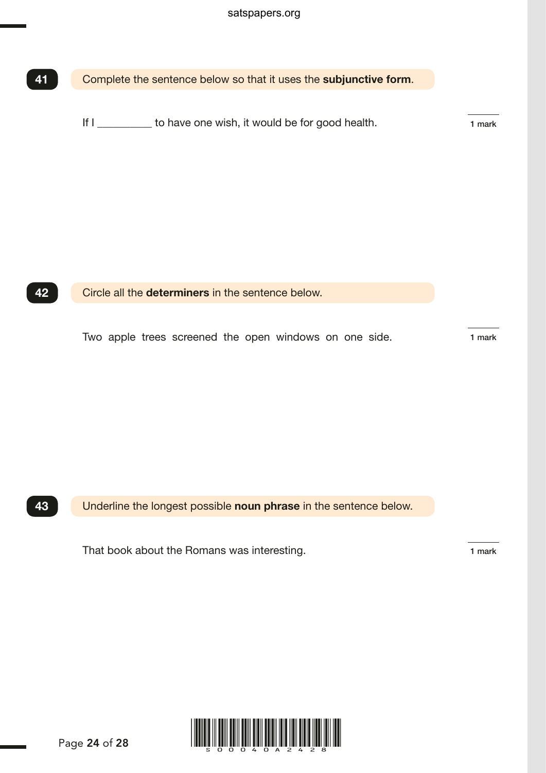| 41 | Complete the sentence below so that it uses the subjunctive form.                                           |        |
|----|-------------------------------------------------------------------------------------------------------------|--------|
|    | If I ___________ to have one wish, it would be for good health.                                             | 1 mark |
| 42 | Circle all the determiners in the sentence below.<br>Two apple trees screened the open windows on one side. | 1 mark |
|    |                                                                                                             |        |
| 43 | Underline the longest possible noun phrase in the sentence below.                                           |        |

That book about the Romans was interesting. That book about the Romans was interesting.

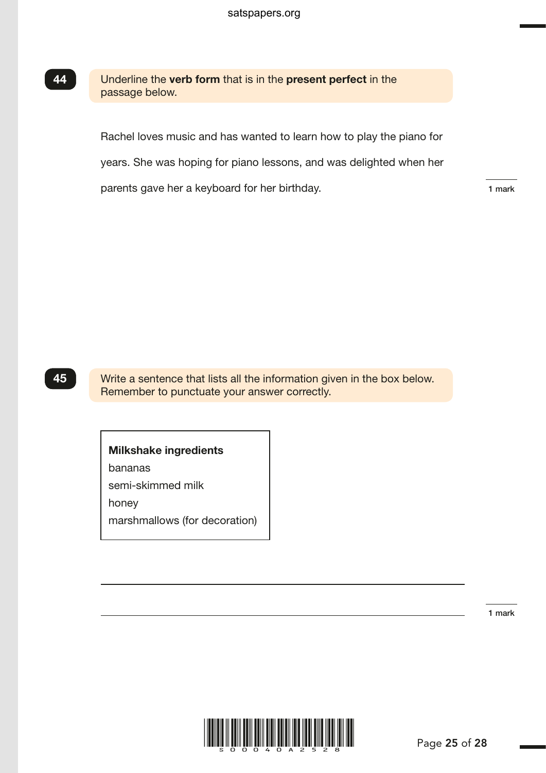Underline the verb form that is in the present perfect in the passage below.

Rachel loves music and has wanted to learn how to play the piano for

years. She was hoping for piano lessons, and was delighted when her

parents gave her a keyboard for her birthday. The many control of the state of the mark

G003879.p1 – 19 March 2015 9:31 AM – Version 2

## XX 45

Write a sentence that lists all the information given in the box below. Remember to punctuate your answer correctly.

#### Milkshake ingredients

bananas

semi-skimmed milk

honey

marshmallows (for decoration)

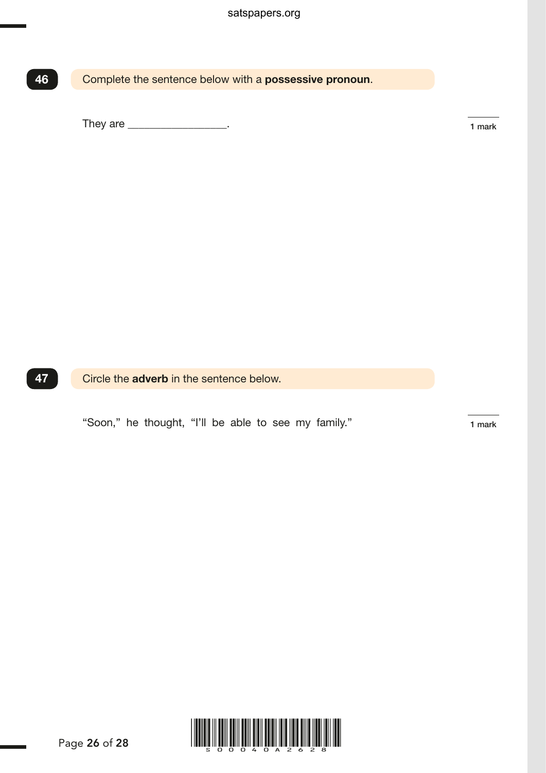Complete the sentence below with a possessive pronoun.

They are \_\_\_\_\_\_\_\_\_\_\_\_\_\_\_\_\_\_\_\_\_.

47

Circle the **adverb** in the sentence below.

"Soon," he thought, "I'll be able to see my family." The 1 mark

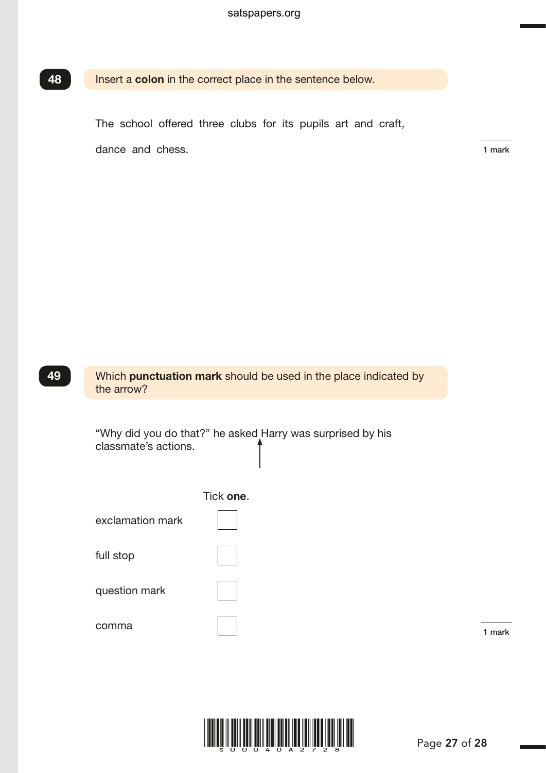#### Insert a colon in the correct place in the sentence below. 48

The school offered three clubs for its pupils art and craft,

dance and chess. 1 mark

G004744.p1 – 19 March 2015 9:58 AM – Version 2